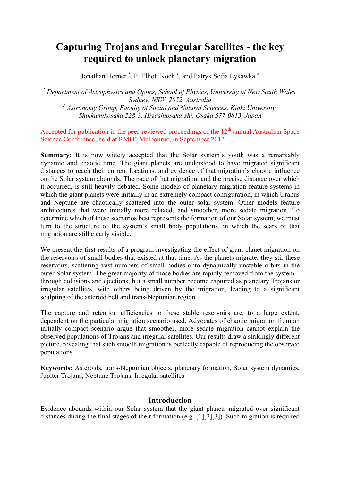# **Capturing Trojans and Irregular Satellites - the key required to unlock planetary migration**

Jonathan Horner<sup>1</sup>, F. Elliott Koch<sup>1</sup>, and Patryk Sofia Lykawka<sup>2</sup>

*<sup>1</sup> Department of Astrophysics and Optics, School of Physics, University of New South Wales, Sydney, NSW, 2052, Australia <sup>2</sup> Astronomy Group, Faculty of Social and Natural Sciences, Kinki University, Shinkamikosaka 228-3, Higashiosaka-shi, Osaka 577-0813, Japan*

Accepted for publication in the peer-reviewed proceedings of the  $12<sup>th</sup>$  annual Australian Space Science Conference, held at RMIT, Melbourne, in September 2012.

**Summary:** It is now widely accepted that the Solar system's youth was a remarkably dynamic and chaotic time. The giant planets are understood to have migrated significant distances to reach their current locations, and evidence of that migration's chaotic influence on the Solar system abounds. The pace of that migration, and the precise distance over which it occurred, is still heavily debated. Some models of planetary migration feature systems in which the giant planets were initially in an extremely compact configuration, in which Uranus and Neptune are chaotically scattered into the outer solar system. Other models feature architectures that were initially more relaxed, and smoother, more sedate migration. To determine which of these scenarios best represents the formation of our Solar system, we must turn to the structure of the system's small body populations, in which the scars of that migration are still clearly visible.

We present the first results of a program investigating the effect of giant planet migration on the reservoirs of small bodies that existed at that time. As the planets migrate, they stir these reservoirs, scattering vast numbers of small bodies onto dynamically unstable orbits in the outer Solar system. The great majority of those bodies are rapidly removed from the system – through collisions and ejections, but a small number become captured as planetary Trojans or irregular satellites, with others being driven by the migration, leading to a significant sculpting of the asteroid belt and trans-Neptunian region.

The capture and retention efficiencies to these stable reservoirs are, to a large extent, dependent on the particular migration scenario used. Advocates of chaotic migration from an initially compact scenario argue that smoother, more sedate migration cannot explain the observed populations of Trojans and irregular satellites. Our results draw a strikingly different picture, revealing that such smooth migration is perfectly capable of reproducing the observed populations.

**Keywords:** Asteroids, trans-Neptunian objects, planetary formation, Solar system dynamics, Jupiter Trojans, Neptune Trojans, Irregular satellites

### **Introduction**

Evidence abounds within our Solar system that the giant planets migrated over significant distances during the final stages of their formation (e.g. [1][2][3]). Such migration is required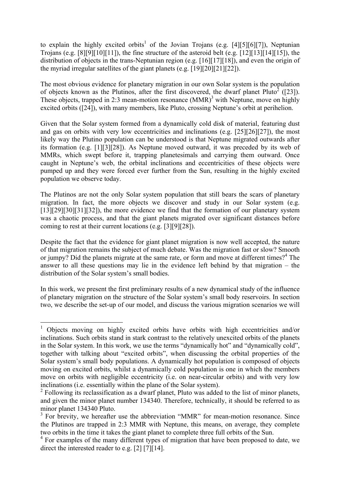to explain the highly excited orbits<sup>1</sup> of the Jovian Trojans (e.g.  $[4][5][6][7]$ ), Neptunian Trojans (e.g. [8][9][10][11]), the fine structure of the asteroid belt (e.g. [12][13][14][15]), the distribution of objects in the trans-Neptunian region (e.g. [16][17][18]), and even the origin of the myriad irregular satellites of the giant planets (e.g. [19][20][21][22]).

The most obvious evidence for planetary migration in our own Solar system is the population of objects known as the Plutinos, after the first discovered, the dwarf planet Pluto<sup>2</sup> ([23]). These objects, trapped in 2:3 mean-motion resonance  $(MMR)^3$  with Neptune, move on highly excited orbits ([24]), with many members, like Pluto, crossing Neptune's orbit at perihelion.

Given that the Solar system formed from a dynamically cold disk of material, featuring dust and gas on orbits with very low eccentricities and inclinations (e.g. [25][26][27]), the most likely way the Plutino population can be understood is that Neptune migrated outwards after its formation (e.g. [1][3][28]). As Neptune moved outward, it was preceded by its web of MMRs, which swept before it, trapping planetesimals and carrying them outward. Once caught in Neptune's web, the orbital inclinations and eccentricities of these objects were pumped up and they were forced ever further from the Sun, resulting in the highly excited population we observe today.

The Plutinos are not the only Solar system population that still bears the scars of planetary migration. In fact, the more objects we discover and study in our Solar system (e.g. [13][29][30][31][32]), the more evidence we find that the formation of our planetary system was a chaotic process, and that the giant planets migrated over significant distances before coming to rest at their current locations (e.g. [3][9][28]).

Despite the fact that the evidence for giant planet migration is now well accepted, the nature of that migration remains the subject of much debate. Was the migration fast or slow? Smooth or jumpy? Did the planets migrate at the same rate, or form and move at different times?<sup>4</sup> The answer to all these questions may lie in the evidence left behind by that migration – the distribution of the Solar system's small bodies.

In this work, we present the first preliminary results of a new dynamical study of the influence of planetary migration on the structure of the Solar system's small body reservoirs. In section two, we describe the set-up of our model, and discuss the various migration scenarios we will

<sup>&</sup>lt;sup>1</sup> Objects moving on highly excited orbits have orbits with high eccentricities and/or inclinations. Such orbits stand in stark contrast to the relatively unexcited orbits of the planets in the Solar system. In this work, we use the terms "dynamically hot" and "dynamically cold", together with talking about "excited orbits", when discussing the orbital properties of the Solar system's small body populations. A dynamically hot population is composed of objects moving on excited orbits, whilst a dynamically cold population is one in which the members move on orbits with negligible eccentricity (i.e. on near-circular orbits) and with very low inclinations (i.e. essentially within the plane of the Solar system).

 $2 \text{ Following its relationship of a function of a function.}$  Tollowing its reclassification as a dwarf planet. Pluto was added to the list of minor planets, and given the minor planet number 134340. Therefore, technically, it should be referred to as minor planet 134340 Pluto.

 $3$  For brevity, we hereafter use the abbreviation "MMR" for mean-motion resonance. Since the Plutinos are trapped in 2:3 MMR with Neptune, this means, on average, they complete two orbits in the time it takes the giant planet to complete three full orbits of the Sun.

<sup>&</sup>lt;sup>4</sup> For examples of the many different types of migration that have been proposed to date, we direct the interested reader to e.g. [2] [7][14].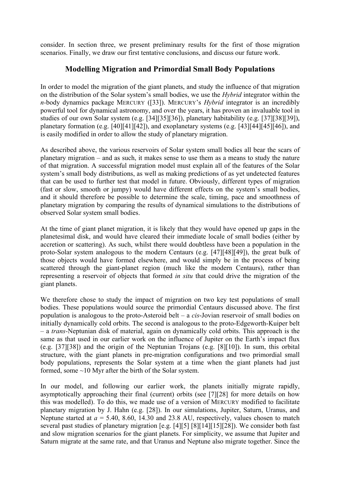consider. In section three, we present preliminary results for the first of those migration scenarios. Finally, we draw our first tentative conclusions, and discuss our future work.

## **Modelling Migration and Primordial Small Body Populations**

In order to model the migration of the giant planets, and study the influence of that migration on the distribution of the Solar system's small bodies, we use the *Hybrid* integrator within the *n-*body dynamics package MERCURY ([33]). MERCURY's *Hybrid* integrator is an incredibly powerful tool for dynamical astronomy, and over the years, it has proven an invaluable tool in studies of our own Solar system (e.g. [34][35][36]), planetary habitability (e.g. [37][38][39]), planetary formation (e.g. [40][41][42]), and exoplanetary systems (e.g. [43][44][45][46]), and is easily modified in order to allow the study of planetary migration.

As described above, the various reservoirs of Solar system small bodies all bear the scars of planetary migration – and as such, it makes sense to use them as a means to study the nature of that migration. A successful migration model must explain all of the features of the Solar system's small body distributions, as well as making predictions of as yet undetected features that can be used to further test that model in future. Obviously, different types of migration (fast or slow, smooth or jumpy) would have different effects on the system's small bodies, and it should therefore be possible to determine the scale, timing, pace and smoothness of planetary migration by comparing the results of dynamical simulations to the distributions of observed Solar system small bodies.

At the time of giant planet migration, it is likely that they would have opened up gaps in the planetesimal disk, and would have cleared their immediate locale of small bodies (either by accretion or scattering). As such, whilst there would doubtless have been a population in the proto-Solar system analogous to the modern Centaurs (e.g. [47][48][49]), the great bulk of those objects would have formed elsewhere, and would simply be in the process of being scattered through the giant-planet region (much like the modern Centaurs), rather than representing a reservoir of objects that formed *in situ* that could drive the migration of the giant planets.

We therefore chose to study the impact of migration on two key test populations of small bodies. These populations would source the primordial Centaurs discussed above. The first population is analogous to the proto-Asteroid belt – a *cis*-Jovian reservoir of small bodies on initially dynamically cold orbits. The second is analogous to the proto-Edgeworth-Kuiper belt – a *trans-*Neptunian disk of material, again on dynamically cold orbits. This approach is the same as that used in our earlier work on the influence of Jupiter on the Earth's impact flux (e.g. [37][38]) and the origin of the Neptunian Trojans (e.g. [8][10]). In sum, this orbital structure, with the giant planets in pre-migration configurations and two primordial small body populations, represents the Solar system at a time when the giant planets had just formed, some ~10 Myr after the birth of the Solar system.

In our model, and following our earlier work, the planets initially migrate rapidly, asymptotically approaching their final (current) orbits (see [7][28] for more details on how this was modelled). To do this, we made use of a version of MERCURY modified to facilitate planetary migration by J. Hahn (e.g. [28]). In our simulations, Jupiter, Saturn, Uranus, and Neptune started at  $a = 5.40, 8.60, 14.30$  and 23.8 AU, respectively, values chosen to match several past studies of planetary migration [e.g. [4][5] [8][14][15][28]). We consider both fast and slow migration scenarios for the giant planets. For simplicity, we assume that Jupiter and Saturn migrate at the same rate, and that Uranus and Neptune also migrate together. Since the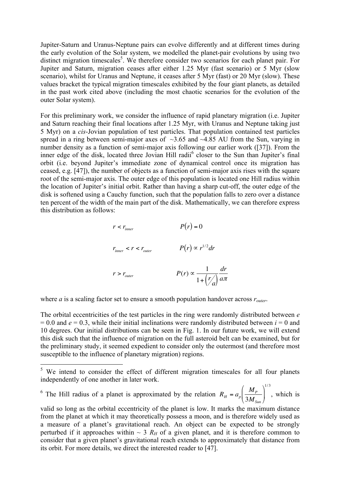Jupiter-Saturn and Uranus-Neptune pairs can evolve differently and at different times during the early evolution of the Solar system, we modelled the planet-pair evolutions by using two distinct migration timescales<sup>5</sup>. We therefore consider two scenarios for each planet pair. For Jupiter and Saturn, migration ceases after either 1.25 Myr (fast scenario) or 5 Myr (slow scenario), whilst for Uranus and Neptune, it ceases after 5 Myr (fast) or 20 Myr (slow). These values bracket the typical migration timescales exhibited by the four giant planets, as detailed in the past work cited above (including the most chaotic scenarios for the evolution of the outer Solar system).

For this preliminary work, we consider the influence of rapid planetary migration (i.e. Jupiter and Saturn reaching their final locations after 1.25 Myr, with Uranus and Neptune taking just 5 Myr) on a *cis*-Jovian population of test particles. That population contained test particles spread in a ring between semi-major axes of  $\sim$ 3.65 and  $\sim$ 4.85 AU from the Sun, varying in number density as a function of semi-major axis following our earlier work ([37]). From the inner edge of the disk, located three Jovian Hill radii<sup>6</sup> closer to the Sun than Jupiter's final orbit (i.e. beyond Jupiter's immediate zone of dynamical control once its migration has ceased, e.g. [47]), the number of objects as a function of semi-major axis rises with the square root of the semi-major axis. The outer edge of this population is located one Hill radius within the location of Jupiter's initial orbit. Rather than having a sharp cut-off, the outer edge of the disk is softened using a Cauchy function, such that the population falls to zero over a distance ten percent of the width of the main part of the disk. Mathematically, we can therefore express this distribution as follows:

$$
r < r_{inner}
$$
  
\n
$$
P(r) = 0
$$
  
\n
$$
r_{inner} < r < r_{outer}
$$
  
\n
$$
P(r) \propto r^{1/2} dr
$$
  
\n
$$
r > r_{outer}
$$
  
\n
$$
P(r) \propto \frac{1}{1 + \left(\frac{r}{a}\right)} \frac{dr}{a\pi}
$$

where *a* is a scaling factor set to ensure a smooth population handover across  $r_{outer}$ .

The orbital eccentricities of the test particles in the ring were randomly distributed between *e*  $= 0.0$  and  $e = 0.3$ , while their initial inclinations were randomly distributed between  $i = 0$  and 10 degrees. Our initial distributions can be seen in Fig. 1. In our future work, we will extend this disk such that the influence of migration on the full asteroid belt can be examined, but for the preliminary study, it seemed expedient to consider only the outermost (and therefore most susceptible to the influence of planetary migration) regions.

<sup>6</sup> The Hill radius of a planet is approximated by the relation  $R_H = a_p \left( \frac{M_P}{2 M}\right)$  $3M^{\,}_{Sun}$  $\sqrt{ }$  $\backslash$  $\left(\frac{M_p}{2 M}\right)$  $\overline{ }$ ' 1/ 3 , which is

<sup>&</sup>lt;sup>5</sup> We intend to consider the effect of different migration timescales for all four planets independently of one another in later work.

perturbed if it approaches within  $\sim 3 R_H$  of a given planet, and it is therefore common to valid so long as the orbital eccentricity of the planet is low. It marks the maximum distance from the planet at which it may theoretically possess a moon, and is therefore widely used as a measure of a planet's gravitational reach. An object can be expected to be strongly consider that a given planet's gravitational reach extends to approximately that distance from its orbit. For more details, we direct the interested reader to [47].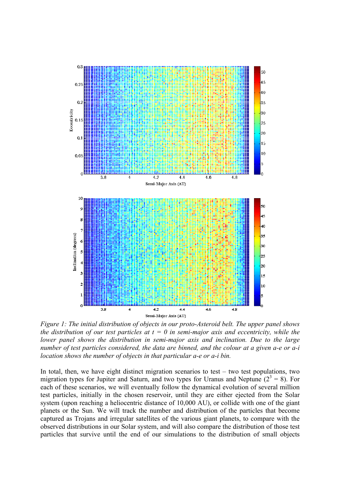

*Figure 1: The initial distribution of objects in our proto-Asteroid belt. The upper panel shows the distribution of our test particles at*  $t = 0$  *in semi-major axis and eccentricity, while the lower panel shows the distribution in semi-major axis and inclination. Due to the large number of test particles considered, the data are binned, and the colour at a given a-e or a-i location shows the number of objects in that particular a-e or a-i bin.*

In total, then, we have eight distinct migration scenarios to test – two test populations, two migration types for Jupiter and Saturn, and two types for Uranus and Neptune  $(2^3 = 8)$ . For each of these scenarios, we will eventually follow the dynamical evolution of several million test particles, initially in the chosen reservoir, until they are either ejected from the Solar system (upon reaching a heliocentric distance of 10,000 AU), or collide with one of the giant planets or the Sun. We will track the number and distribution of the particles that become captured as Trojans and irregular satellites of the various giant planets, to compare with the observed distributions in our Solar system, and will also compare the distribution of those test particles that survive until the end of our simulations to the distribution of small objects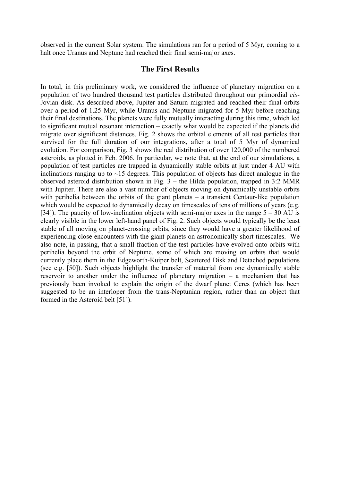observed in the current Solar system. The simulations ran for a period of 5 Myr, coming to a halt once Uranus and Neptune had reached their final semi-major axes.

#### **The First Results**

In total, in this preliminary work, we considered the influence of planetary migration on a population of two hundred thousand test particles distributed throughout our primordial *cis*-Jovian disk. As described above, Jupiter and Saturn migrated and reached their final orbits over a period of 1.25 Myr, while Uranus and Neptune migrated for 5 Myr before reaching their final destinations. The planets were fully mutually interacting during this time, which led to significant mutual resonant interaction – exactly what would be expected if the planets did migrate over significant distances. Fig. 2 shows the orbital elements of all test particles that survived for the full duration of our integrations, after a total of 5 Myr of dynamical evolution. For comparison, Fig. 3 shows the real distribution of over 120,000 of the numbered asteroids, as plotted in Feb. 2006. In particular, we note that, at the end of our simulations, a population of test particles are trapped in dynamically stable orbits at just under 4 AU with inclinations ranging up to  $\sim$ 15 degrees. This population of objects has direct analogue in the observed asteroid distribution shown in Fig. 3 – the Hilda population, trapped in 3:2 MMR with Jupiter. There are also a vast number of objects moving on dynamically unstable orbits with perihelia between the orbits of the giant planets – a transient Centaur-like population which would be expected to dynamically decay on timescales of tens of millions of years (e.g. [34]). The paucity of low-inclination objects with semi-major axes in the range  $5 - 30$  AU is clearly visible in the lower left-hand panel of Fig. 2. Such objects would typically be the least stable of all moving on planet-crossing orbits, since they would have a greater likelihood of experiencing close encounters with the giant planets on astronomically short timescales. We also note, in passing, that a small fraction of the test particles have evolved onto orbits with perihelia beyond the orbit of Neptune, some of which are moving on orbits that would currently place them in the Edgeworth-Kuiper belt, Scattered Disk and Detached populations (see e.g. [50]). Such objects highlight the transfer of material from one dynamically stable reservoir to another under the influence of planetary migration – a mechanism that has previously been invoked to explain the origin of the dwarf planet Ceres (which has been suggested to be an interloper from the trans-Neptunian region, rather than an object that formed in the Asteroid belt [51]).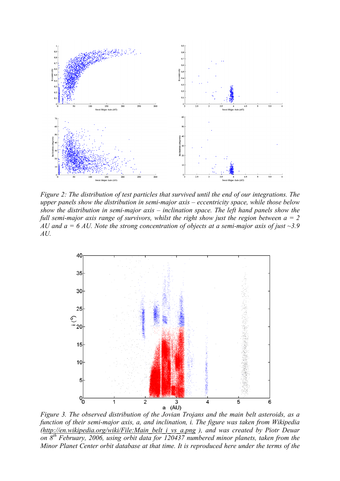

*Figure 2: The distribution of test particles that survived until the end of our integrations. The upper panels show the distribution in semi-major axis – eccentricity space, while those below show the distribution in semi-major axis – inclination space. The left hand panels show the full semi-major axis range of survivors, whilst the right show just the region between a = 2 AU and a = 6 AU. Note the strong concentration of objects at a semi-major axis of just ~3.9 AU.*



*Figure 3. The observed distribution of the Jovian Trojans and the main belt asteroids, as a function of their semi-major axis, a, and inclination, i. The figure was taken from Wikipedia (http://en.wikipedia.org/wiki/File:Main\_belt\_i\_vs\_a.png ), and was created by Piotr Deuar on 8th February, 2006, using orbit data for 120437 numbered minor planets, taken from the Minor Planet Center orbit database at that time. It is reproduced here under the terms of the*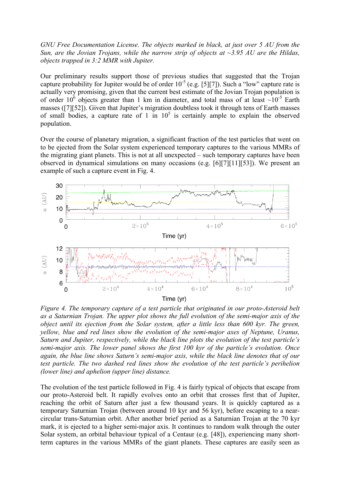*GNU Free Documentation License. The objects marked in black, at just over 5 AU from the Sun, are the Jovian Trojans, while the narrow strip of objects at ~3.95 AU are the Hildas, objects trapped in 3:2 MMR with Jupiter.*

Our preliminary results support those of previous studies that suggested that the Trojan capture probability for Jupiter would be of order  $10^{-5}$  (e.g. [5][7]). Such a "low" capture rate is actually very promising, given that the current best estimate of the Jovian Trojan population is of order 10<sup>6</sup> objects greater than 1 km in diameter, and total mass of at least  $\sim 10^{-5}$  Earth masses ([7][52]). Given that Jupiter's migration doubtless took it through tens of Earth masses of small bodies, a capture rate of 1 in  $10<sup>5</sup>$  is certainly ample to explain the observed population.

Over the course of planetary migration, a significant fraction of the test particles that went on to be ejected from the Solar system experienced temporary captures to the various MMRs of the migrating giant planets. This is not at all unexpected – such temporary captures have been observed in dynamical simulations on many occasions (e.g. [6][7][11][53]). We present an example of such a capture event in Fig. 4.



*Figure 4. The temporary capture of a test particle that originated in our proto-Asteroid belt as a Saturnian Trojan. The upper plot shows the full evolution of the semi-major axis of the object until its ejection from the Solar system, after a little less than 600 kyr. The green, yellow, blue and red lines show the evolution of the semi-major axes of Neptune, Uranus, Saturn and Jupiter, respectively, while the black line plots the evolution of the test particle's semi-major axis. The lower panel shows the first 100 kyr of the particle's evolution. Once again, the blue line shows Saturn's semi-major axis, while the black line denotes that of our test particle. The two dashed red lines show the evolution of the test particle's perihelion (lower line) and aphelion (upper line) distance.* 

The evolution of the test particle followed in Fig. 4 is fairly typical of objects that escape from our proto-Asteroid belt. It rapidly evolves onto an orbit that crosses first that of Jupiter, reaching the orbit of Saturn after just a few thousand years. It is quickly captured as a temporary Saturnian Trojan (between around 10 kyr and 56 kyr), before escaping to a nearcircular trans-Saturnian orbit. After another brief period as a Saturnian Trojan at the 70 kyr mark, it is ejected to a higher semi-major axis. It continues to random walk through the outer Solar system, an orbital behaviour typical of a Centaur (e.g. [48]), experiencing many shortterm captures in the various MMRs of the giant planets. These captures are easily seen as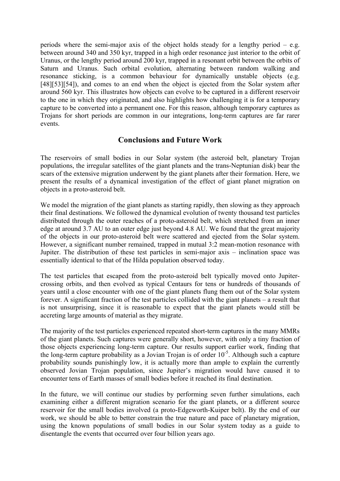periods where the semi-major axis of the object holds steady for a lengthy period  $-$  e.g. between around 340 and 350 kyr, trapped in a high order resonance just interior to the orbit of Uranus, or the lengthy period around 200 kyr, trapped in a resonant orbit between the orbits of Saturn and Uranus. Such orbital evolution, alternating between random walking and resonance sticking, is a common behaviour for dynamically unstable objects (e.g. [48][53][54]), and comes to an end when the object is ejected from the Solar system after around 560 kyr. This illustrates how objects can evolve to be captured in a different reservoir to the one in which they originated, and also highlights how challenging it is for a temporary capture to be converted into a permanent one. For this reason, although temporary captures as Trojans for short periods are common in our integrations, long-term captures are far rarer events.

## **Conclusions and Future Work**

The reservoirs of small bodies in our Solar system (the asteroid belt, planetary Trojan populations, the irregular satellites of the giant planets and the trans-Neptunian disk) bear the scars of the extensive migration underwent by the giant planets after their formation. Here, we present the results of a dynamical investigation of the effect of giant planet migration on objects in a proto-asteroid belt.

We model the migration of the giant planets as starting rapidly, then slowing as they approach their final destinations. We followed the dynamical evolution of twenty thousand test particles distributed through the outer reaches of a proto-asteroid belt, which stretched from an inner edge at around 3.7 AU to an outer edge just beyond 4.8 AU. We found that the great majority of the objects in our proto-asteroid belt were scattered and ejected from the Solar system. However, a significant number remained, trapped in mutual 3:2 mean-motion resonance with Jupiter. The distribution of these test particles in semi-major axis – inclination space was essentially identical to that of the Hilda population observed today.

The test particles that escaped from the proto-asteroid belt typically moved onto Jupitercrossing orbits, and then evolved as typical Centaurs for tens or hundreds of thousands of years until a close encounter with one of the giant planets flung them out of the Solar system forever. A significant fraction of the test particles collided with the giant planets – a result that is not unsurprising, since it is reasonable to expect that the giant planets would still be accreting large amounts of material as they migrate.

The majority of the test particles experienced repeated short-term captures in the many MMRs of the giant planets. Such captures were generally short, however, with only a tiny fraction of those objects experiencing long-term capture. Our results support earlier work, finding that the long-term capture probability as a Jovian Trojan is of order 10<sup>-5</sup>. Although such a capture probability sounds punishingly low, it is actually more than ample to explain the currently observed Jovian Trojan population, since Jupiter's migration would have caused it to encounter tens of Earth masses of small bodies before it reached its final destination.

In the future, we will continue our studies by performing seven further simulations, each examining either a different migration scenario for the giant planets, or a different source reservoir for the small bodies involved (a proto-Edgeworth-Kuiper belt). By the end of our work, we should be able to better constrain the true nature and pace of planetary migration, using the known populations of small bodies in our Solar system today as a guide to disentangle the events that occurred over four billion years ago.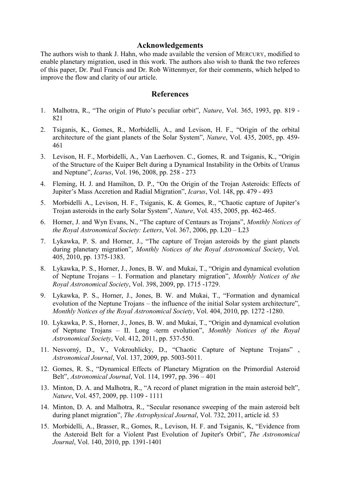#### **Acknowledgements**

The authors wish to thank J. Hahn, who made available the version of MERCURY, modified to enable planetary migration, used in this work. The authors also wish to thank the two referees of this paper, Dr. Paul Francis and Dr. Rob Wittenmyer, for their comments, which helped to improve the flow and clarity of our article.

#### **References**

- 1. Malhotra, R., "The origin of Pluto's peculiar orbit", *Nature*, Vol. 365, 1993, pp. 819 821
- 2. Tsiganis, K., Gomes, R., Morbidelli, A., and Levison, H. F., "Origin of the orbital architecture of the giant planets of the Solar System", *Nature*, Vol. 435, 2005, pp. 459- 461
- 3. Levison, H. F., Morbidelli, A., Van Laerhoven. C., Gomes, R. and Tsiganis, K., "Origin of the Structure of the Kuiper Belt during a Dynamical Instability in the Orbits of Uranus and Neptune", *Icarus*, Vol. 196, 2008, pp. 258 - 273
- 4. Fleming, H. J. and Hamilton, D. P., "On the Origin of the Trojan Asteroids: Effects of Jupiter's Mass Accretion and Radial Migration", *Icarus*, Vol. 148, pp. 479 - 493
- 5. Morbidelli A., Levison, H. F., Tsiganis, K. & Gomes, R., "Chaotic capture of Jupiter's Trojan asteroids in the early Solar System", *Nature*, Vol. 435, 2005, pp. 462-465.
- 6. Horner, J. and Wyn Evans, N., "The capture of Centaurs as Trojans", *Monthly Notices of the Royal Astronomical Society: Letters*, Vol. 367, 2006, pp. L20 – L23
- 7. Lykawka, P. S. and Horner, J., "The capture of Trojan asteroids by the giant planets during planetary migration", *Monthly Notices of the Royal Astronomical Society*, Vol. 405, 2010, pp. 1375-1383.
- 8. Lykawka, P. S., Horner, J., Jones, B. W. and Mukai, T., "Origin and dynamical evolution of Neptune Trojans – I. Formation and planetary migration", *Monthly Notices of the Royal Astronomical Society*, Vol. 398, 2009, pp. 1715 -1729.
- 9. Lykawka, P. S., Horner, J., Jones, B. W. and Mukai, T., "Formation and dynamical evolution of the Neptune Trojans – the influence of the initial Solar system architecture", *Monthly Notices of the Royal Astronomical Society*, Vol. 404, 2010, pp. 1272 -1280.
- 10. Lykawka, P. S., Horner, J., Jones, B. W. and Mukai, T., "Origin and dynamical evolution of Neptune Trojans – II. Long -term evolution", *Monthly Notices of the Royal Astronomical Society*, Vol. 412, 2011, pp. 537-550.
- 11. Nesvorný, D., V., Vokrouhlicky, D., "Chaotic Capture of Neptune Trojans" , *Astronomical Journal*, Vol. 137, 2009, pp. 5003-5011.
- 12. Gomes, R. S., "Dynamical Effects of Planetary Migration on the Primordial Asteroid Belt", *Astronomical Journal*, Vol. 114, 1997, pp. 396 – 401
- 13. Minton, D. A. and Malhotra, R., "A record of planet migration in the main asteroid belt", *Nature*, Vol. 457, 2009, pp. 1109 - 1111
- 14. Minton, D. A. and Malhotra, R., "Secular resonance sweeping of the main asteroid belt during planet migration", *The Astrophysical Journal*, Vol. 732, 2011, article id. 53
- 15. Morbidelli, A., Brasser, R., Gomes, R., Levison, H. F. and Tsiganis, K, "Evidence from the Asteroid Belt for a Violent Past Evolution of Jupiter's Orbit", *The Astronomical Journal*, Vol. 140, 2010, pp. 1391-1401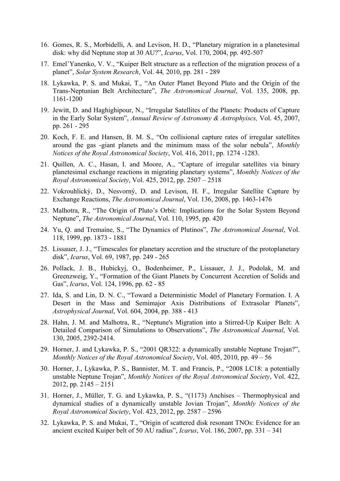- 16. Gomes, R. S., Morbidelli, A. and Levison, H. D., "Planetary migration in a planetesimal disk: why did Neptune stop at 30 AU?", *Icarus*, Vol. 170, 2004, pp. 492-507
- 17. Emel'Yanenko, V. V., "Kuiper Belt structure as a reflection of the migration process of a planet", *Solar System Research*, Vol. 44*,* 2010, pp. 281 - 289
- 18. Lykawka, P. S. and Mukai, T., "An Outer Planet Beyond Pluto and the Origin of the Trans-Neptunian Belt Architecture", *The Astronomical Journal*, Vol. 135, 2008, pp. 1161-1200
- 19. Jewitt, D. and Haghighipour, N., "Irregular Satellites of the Planets: Products of Capture in the Early Solar System", *Annual Review of Astronomy & Astrophyiscs,* Vol. 45, 2007, pp. 261 - 295
- 20. Koch, F. E. and Hansen, B. M. S., "On collisional capture rates of irregular satellites around the gas -giant planets and the minimum mass of the solar nebula", *Monthly Notices of the Royal Astronomical Society*, Vol. 416, 2011, pp. 1274 -1283.
- 21. Quillen, A. C., Hasan, I. and Moore, A., "Capture of irregular satellites via binary planetesimal exchange reactions in migrating planetary systems", *Monthly Notices of the Royal Astronomical Society*, Vol. 425, 2012, pp. 2507 – 2518
- 22. Vokrouhlický, D., Nesvorný, D. and Levison, H. F., Irregular Satellite Capture by Exchange Reactions, *The Astronomical Journal*, Vol. 136, 2008, pp. 1463-1476
- 23. Malhotra, R., "The Origin of Pluto's Orbit: Implications for the Solar System Beyond Neptune", *The Astronomical Journal*, Vol. 110, 1995, pp. 420
- 24. Yu, Q. and Tremaine, S., "The Dynamics of Plutinos", *The Astronomical Journal*, Vol. 118, 1999, pp. 1873 - 1881
- 25. Lissauer, J. J., "Timescales for planetary accretion and the structure of the protoplanetary disk", *Icarus*, Vol. 69, 1987, pp. 249 - 265
- 26. Pollack, J. B., Hubickyj, O., Bodenheimer, P., Lissauer, J. J., Podolak, M. and Greenzweig, Y., "Formation of the Giant Planets by Concurrent Accretion of Solids and Gas", *Icarus*, Vol. 124, 1996, pp. 62 - 85
- 27. Ida, S. and Lin, D. N. C., "Toward a Deterministic Model of Planetary Formation. I. A Desert in the Mass and Semimajor Axis Distributions of Extrasolar Planets", *Astrophysical Journal*, Vol. 604, 2004, pp. 388 - 413
- 28. Hahn, J. M. and Malhotra, R., "Neptune's Migration into a Stirred-Up Kuiper Belt: A Detailed Comparison of Simulations to Observations", *The Astronomical Journal*, Vol. 130, 2005, 2392-2414.
- 29. Horner, J. and Lykawka, P. S., "2001 QR322: a dynamically unstable Neptune Trojan?", *Monthly Notices of the Royal Astronomical Society*, Vol. 405, 2010, pp. 49 – 56
- 30. Horner, J., Lykawka, P. S., Bannister, M. T. and Francis, P., "2008 LC18: a potentially unstable Neptune Trojan", *Monthly Notices of the Royal Astronomical Society*, Vol. 422, 2012, pp. 2145 – 2151
- 31. Horner, J., Müller, T. G. and Lykawka, P. S., "(1173) Anchises Thermophysical and dynamical studies of a dynamically unstable Jovian Trojan", *Monthly Notices of the Royal Astronomical Society*, Vol. 423, 2012, pp. 2587 – 2596
- 32. Lykawka, P. S. and Mukai, T., "Origin of scattered disk resonant TNOs: Evidence for an ancient excited Kuiper belt of 50 AU radius", *Icarus*, Vol. 186, 2007, pp. 331 – 341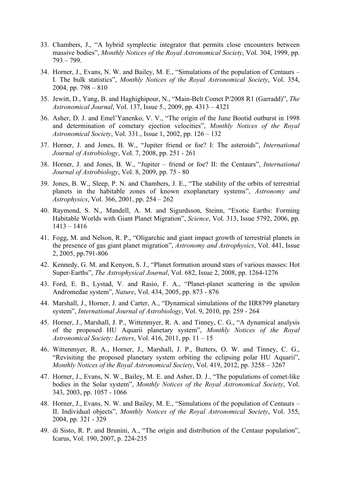- 33. Chambers, J., "A hybrid symplectic integrator that permits close encounters between massive bodies", *Monthly Notices of the Royal Astronomical Society*, Vol. 304, 1999, pp. 793 – 799.
- 34. Horner, J., Evans, N. W. and Bailey, M. E., "Simulations of the population of Centaurs I. The bulk statistics", *Monthly Notices of the Royal Astronomical Society*, Vol. 354, 2004, pp.  $798 - 810$
- 35. Jewitt, D., Yang, B. and Haghighipour, N., "Main-Belt Comet P/2008 R1 (Garradd)", *The Astronomical Journal*, Vol. 137, Issue 5., 2009, pp. 4313 – 4321
- 36. Asher, D. J. and Emel'Yanenko, V. V., "The origin of the June Bootid outburst in 1998 and determination of cometary ejection velocities", *Monthly Notices of the Royal Astronomical Society*, Vol. 331., Issue 1, 2002, pp. 126 – 132
- 37. Horner, J. and Jones, B. W., "Jupiter friend or foe? I: The asteroids", *International Journal of Astrobiology*, Vol. 7, 2008, pp. 251 - 261
- 38. Horner, J. and Jones, B. W., "Jupiter friend or foe? II: the Centaurs", *International Journal of Astrobiology*, Vol. 8, 2009, pp. 75 - 80
- 39. Jones, B. W., Sleep, P. N. and Chambers, J. E., "The stability of the orbits of terrestrial planets in the habitable zones of known exoplanetary systems", *Astronomy and Astrophysics*, Vol. 366, 2001, pp. 254 – 262
- 40. Raymond, S. N., Mandell, A. M. and Sigurdsson, Steinn, "Exotic Earths: Forming Habitable Worlds with Giant Planet Migration", *Science*, Vol. 313, Issue 5792, 2006, pp. 1413 – 1416
- 41. Fogg, M. and Nelson, R. P., "Oligarchic and giant impact growth of terrestrial planets in the presence of gas giant planet migration", *Astronomy and Astrophysics*, Vol. 441, Issue 2, 2005, pp.791-806
- 42. Kennedy, G. M. and Kenyon, S. J., "Planet formation around stars of various masses: Hot Super-Earths", *The Astrophysical Journal*, Vol. 682, Issue 2, 2008, pp. 1264-1276
- 43. Ford, E. B., Lystad, V. and Rasio, F. A., "Planet-planet scattering in the upsilon Andromedae system", *Nature*, Vol. 434, 2005, pp. 873 - 876
- 44. Marshall, J., Horner, J. and Carter, A., "Dynamical simulations of the HR8799 planetary system", *International Journal of Astrobiology*, Vol. 9, 2010, pp. 259 - 264
- 45. Horner, J., Marshall, J. P., Wittenmyer, R. A. and Tinney, C. G., "A dynamical analysis of the proposed HU Aquarii planetary system", *Monthly Notices of the Royal Astronomical Society: Letters*, Vol. 416, 2011, pp. 11 – 15
- 46. Wittenmyer, R. A., Horner, J., Marshall, J. P., Butters, O. W. and Tinney, C. G., "Revisiting the proposed planetary system orbiting the eclipsing polar HU Aquarii", *Monthly Notices of the Royal Astronomical Society*, Vol. 419, 2012, pp. 3258 – 3267
- 47. Horner, J., Evans, N. W., Bailey, M. E. and Asher, D. J., "The populations of comet-like bodies in the Solar system", *Monthly Notices of the Royal Astronomical Society*, Vol. 343, 2003, pp. 1057 - 1066
- 48. Horner, J., Evans, N. W. and Bailey, M. E., "Simulations of the population of Centaurs II. Individual objects", *Monthly Notices of the Royal Astronomical Society*, Vol. 355, 2004, pp. 321 - 329
- 49. di Sisto, R. P. and Brunini, A., "The origin and distribution of the Centaur population", Icarus, Vol. 190, 2007, p. 224-235